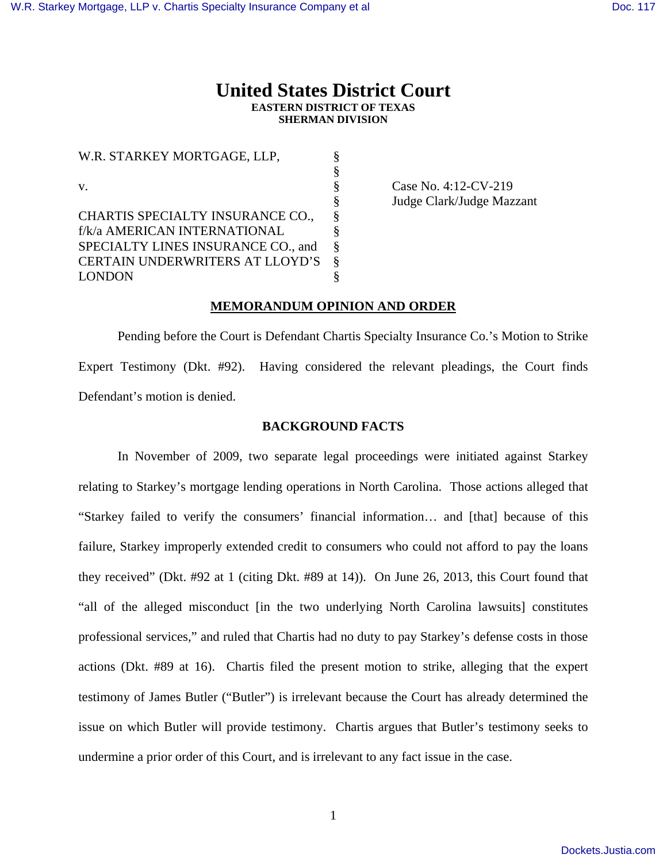## **United States District Court EASTERN DISTRICT OF TEXAS SHERMAN DIVISION**

W.R. STARKEY MORTGAGE, LLP,  $\S$  § v. S Case No. 4:12-CV-219 CHARTIS SPECIALTY INSURANCE CO., f/k/a AMERICAN INTERNATIONAL § SPECIALTY LINES INSURANCE CO., and § CERTAIN UNDERWRITERS AT LLOYD'S § LONDON §

§ Judge Clark/Judge Mazzant

#### **MEMORANDUM OPINION AND ORDER**

 Pending before the Court is Defendant Chartis Specialty Insurance Co.'s Motion to Strike Expert Testimony (Dkt. #92). Having considered the relevant pleadings, the Court finds Defendant's motion is denied.

### **BACKGROUND FACTS**

In November of 2009, two separate legal proceedings were initiated against Starkey relating to Starkey's mortgage lending operations in North Carolina. Those actions alleged that "Starkey failed to verify the consumers' financial information… and [that] because of this failure, Starkey improperly extended credit to consumers who could not afford to pay the loans they received" (Dkt. #92 at 1 (citing Dkt. #89 at 14)). On June 26, 2013, this Court found that "all of the alleged misconduct [in the two underlying North Carolina lawsuits] constitutes professional services," and ruled that Chartis had no duty to pay Starkey's defense costs in those actions (Dkt. #89 at 16). Chartis filed the present motion to strike, alleging that the expert testimony of James Butler ("Butler") is irrelevant because the Court has already determined the issue on which Butler will provide testimony. Chartis argues that Butler's testimony seeks to undermine a prior order of this Court, and is irrelevant to any fact issue in the case.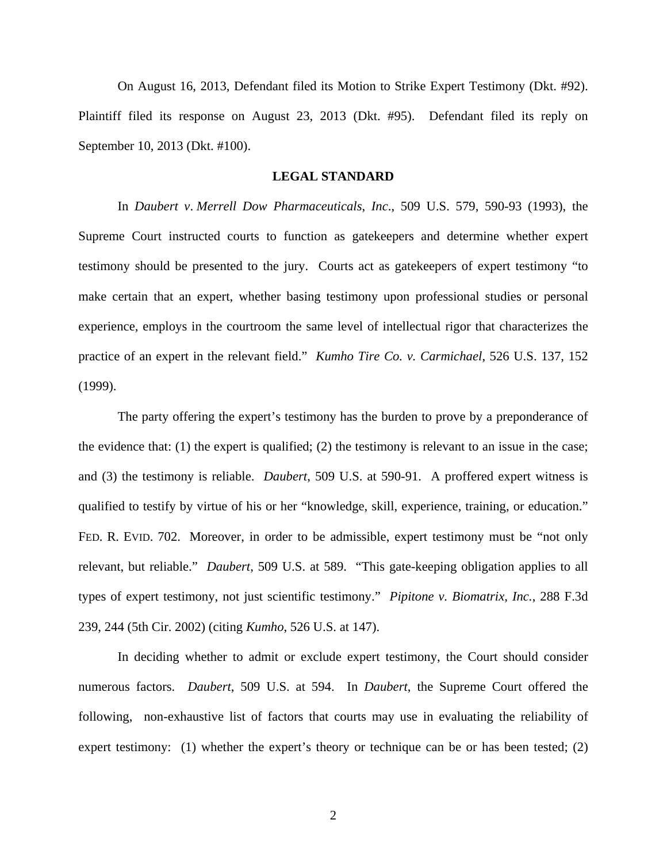On August 16, 2013, Defendant filed its Motion to Strike Expert Testimony (Dkt. #92). Plaintiff filed its response on August 23, 2013 (Dkt. #95). Defendant filed its reply on September 10, 2013 (Dkt. #100).

#### **LEGAL STANDARD**

In *Daubert v*. *Merrell Dow Pharmaceuticals*, *Inc*., 509 U.S. 579, 590-93 (1993), the Supreme Court instructed courts to function as gatekeepers and determine whether expert testimony should be presented to the jury. Courts act as gatekeepers of expert testimony "to make certain that an expert, whether basing testimony upon professional studies or personal experience, employs in the courtroom the same level of intellectual rigor that characterizes the practice of an expert in the relevant field." *Kumho Tire Co. v. Carmichael*, 526 U.S. 137, 152 (1999).

 The party offering the expert's testimony has the burden to prove by a preponderance of the evidence that: (1) the expert is qualified; (2) the testimony is relevant to an issue in the case; and (3) the testimony is reliable. *Daubert*, 509 U.S. at 590-91. A proffered expert witness is qualified to testify by virtue of his or her "knowledge, skill, experience, training, or education." FED. R. EVID. 702. Moreover, in order to be admissible, expert testimony must be "not only relevant, but reliable." *Daubert*, 509 U.S. at 589. "This gate-keeping obligation applies to all types of expert testimony, not just scientific testimony." *Pipitone v. Biomatrix, Inc.*, 288 F.3d 239, 244 (5th Cir. 2002) (citing *Kumho*, 526 U.S. at 147).

 In deciding whether to admit or exclude expert testimony, the Court should consider numerous factors. *Daubert*, 509 U.S. at 594. In *Daubert*, the Supreme Court offered the following, non-exhaustive list of factors that courts may use in evaluating the reliability of expert testimony: (1) whether the expert's theory or technique can be or has been tested; (2)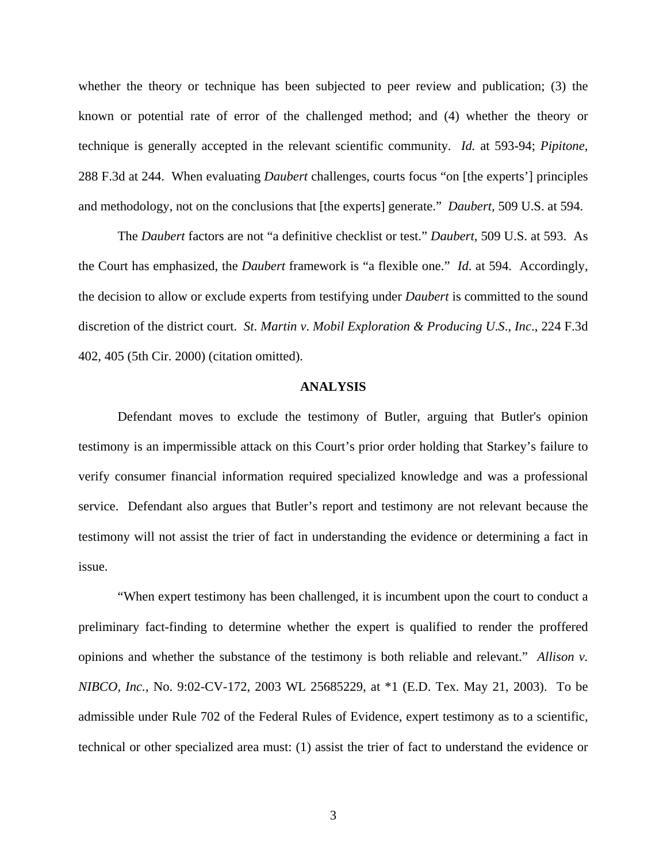whether the theory or technique has been subjected to peer review and publication; (3) the known or potential rate of error of the challenged method; and (4) whether the theory or technique is generally accepted in the relevant scientific community. *Id.* at 593-94; *Pipitone*, 288 F.3d at 244. When evaluating *Daubert* challenges, courts focus "on [the experts'] principles and methodology, not on the conclusions that [the experts] generate." *Daubert,* 509 U.S. at 594.

 The *Daubert* factors are not "a definitive checklist or test." *Daubert,* 509 U.S. at 593. As the Court has emphasized, the *Daubert* framework is "a flexible one." *Id*. at 594. Accordingly, the decision to allow or exclude experts from testifying under *Daubert* is committed to the sound discretion of the district court. *St*. *Martin v*. *Mobil Exploration & Producing U*.*S*., *Inc*., 224 F.3d 402, 405 (5th Cir. 2000) (citation omitted).

#### **ANALYSIS**

 Defendant moves to exclude the testimony of Butler, arguing that Butler's opinion testimony is an impermissible attack on this Court's prior order holding that Starkey's failure to verify consumer financial information required specialized knowledge and was a professional service. Defendant also argues that Butler's report and testimony are not relevant because the testimony will not assist the trier of fact in understanding the evidence or determining a fact in issue.

 "When expert testimony has been challenged, it is incumbent upon the court to conduct a preliminary fact-finding to determine whether the expert is qualified to render the proffered opinions and whether the substance of the testimony is both reliable and relevant." *Allison v. NIBCO, Inc.*, No. 9:02-CV-172, 2003 WL 25685229, at \*1 (E.D. Tex. May 21, 2003). To be admissible under Rule 702 of the Federal Rules of Evidence, expert testimony as to a scientific, technical or other specialized area must: (1) assist the trier of fact to understand the evidence or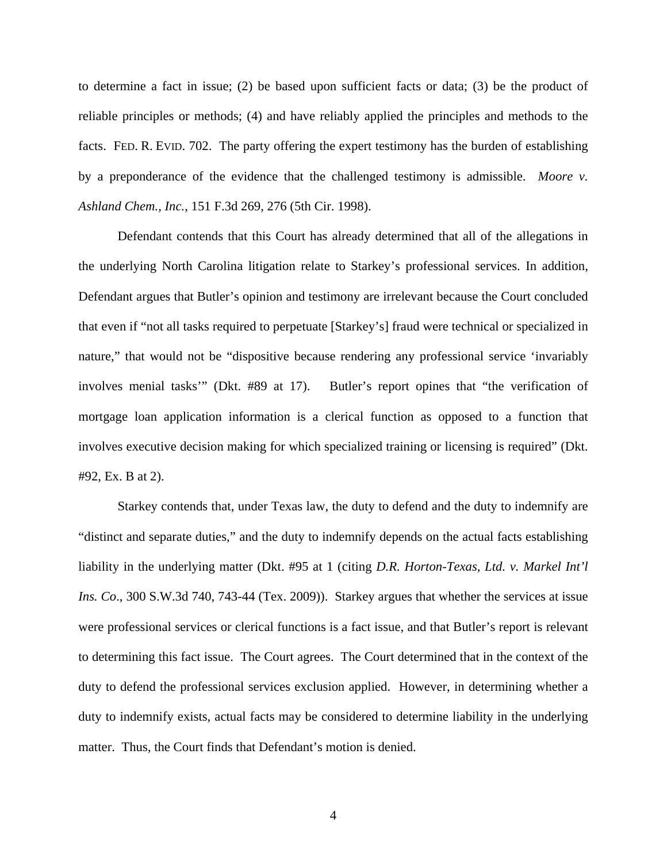to determine a fact in issue; (2) be based upon sufficient facts or data; (3) be the product of reliable principles or methods; (4) and have reliably applied the principles and methods to the facts. FED. R. EVID. 702. The party offering the expert testimony has the burden of establishing by a preponderance of the evidence that the challenged testimony is admissible. *Moore v. Ashland Chem., Inc.*, 151 F.3d 269, 276 (5th Cir. 1998).

 Defendant contends that this Court has already determined that all of the allegations in the underlying North Carolina litigation relate to Starkey's professional services. In addition, Defendant argues that Butler's opinion and testimony are irrelevant because the Court concluded that even if "not all tasks required to perpetuate [Starkey's] fraud were technical or specialized in nature," that would not be "dispositive because rendering any professional service 'invariably involves menial tasks'" (Dkt. #89 at 17). Butler's report opines that "the verification of mortgage loan application information is a clerical function as opposed to a function that involves executive decision making for which specialized training or licensing is required" (Dkt. #92, Ex. B at 2).

 Starkey contends that, under Texas law, the duty to defend and the duty to indemnify are "distinct and separate duties," and the duty to indemnify depends on the actual facts establishing liability in the underlying matter (Dkt. #95 at 1 (citing *D.R. Horton-Texas, Ltd. v. Markel Int'l Ins. Co*., 300 S.W.3d 740, 743-44 (Tex. 2009)). Starkey argues that whether the services at issue were professional services or clerical functions is a fact issue, and that Butler's report is relevant to determining this fact issue. The Court agrees. The Court determined that in the context of the duty to defend the professional services exclusion applied. However, in determining whether a duty to indemnify exists, actual facts may be considered to determine liability in the underlying matter. Thus, the Court finds that Defendant's motion is denied.